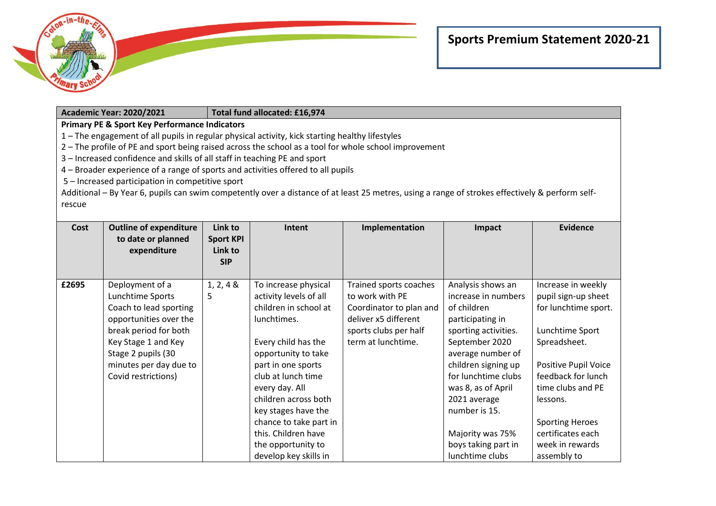

|                                                                                                       | <b>Academic Year: 2020/2021</b>                          |                  | Total fund allocated: £16,974 |                                                                                                                                                 |                      |                             |  |  |  |
|-------------------------------------------------------------------------------------------------------|----------------------------------------------------------|------------------|-------------------------------|-------------------------------------------------------------------------------------------------------------------------------------------------|----------------------|-----------------------------|--|--|--|
|                                                                                                       | <b>Primary PE &amp; Sport Key Performance Indicators</b> |                  |                               |                                                                                                                                                 |                      |                             |  |  |  |
| 1 - The engagement of all pupils in regular physical activity, kick starting healthy lifestyles       |                                                          |                  |                               |                                                                                                                                                 |                      |                             |  |  |  |
| 2 - The profile of PE and sport being raised across the school as a tool for whole school improvement |                                                          |                  |                               |                                                                                                                                                 |                      |                             |  |  |  |
| 3 - Increased confidence and skills of all staff in teaching PE and sport                             |                                                          |                  |                               |                                                                                                                                                 |                      |                             |  |  |  |
| 4 – Broader experience of a range of sports and activities offered to all pupils                      |                                                          |                  |                               |                                                                                                                                                 |                      |                             |  |  |  |
|                                                                                                       | 5 - Increased participation in competitive sport         |                  |                               |                                                                                                                                                 |                      |                             |  |  |  |
|                                                                                                       |                                                          |                  |                               | Additional – By Year 6, pupils can swim competently over a distance of at least 25 metres, using a range of strokes effectively & perform self- |                      |                             |  |  |  |
| rescue                                                                                                |                                                          |                  |                               |                                                                                                                                                 |                      |                             |  |  |  |
|                                                                                                       |                                                          |                  |                               |                                                                                                                                                 |                      |                             |  |  |  |
| Cost                                                                                                  | <b>Outline of expenditure</b>                            | Link to          | Intent                        | Implementation                                                                                                                                  | Impact               | <b>Evidence</b>             |  |  |  |
|                                                                                                       | to date or planned                                       | <b>Sport KPI</b> |                               |                                                                                                                                                 |                      |                             |  |  |  |
|                                                                                                       | expenditure                                              | Link to          |                               |                                                                                                                                                 |                      |                             |  |  |  |
|                                                                                                       |                                                          | <b>SIP</b>       |                               |                                                                                                                                                 |                      |                             |  |  |  |
|                                                                                                       |                                                          |                  |                               |                                                                                                                                                 |                      |                             |  |  |  |
| £2695                                                                                                 | Deployment of a                                          | 1, 2, 4 &        | To increase physical          | Trained sports coaches                                                                                                                          | Analysis shows an    | Increase in weekly          |  |  |  |
|                                                                                                       | Lunchtime Sports                                         | 5                | activity levels of all        | to work with PE                                                                                                                                 | increase in numbers  | pupil sign-up sheet         |  |  |  |
|                                                                                                       | Coach to lead sporting                                   |                  | children in school at         | Coordinator to plan and                                                                                                                         | of children          | for lunchtime sport.        |  |  |  |
|                                                                                                       | opportunities over the                                   |                  | lunchtimes.                   | deliver x5 different                                                                                                                            | participating in     |                             |  |  |  |
|                                                                                                       | break period for both                                    |                  |                               | sports clubs per half                                                                                                                           | sporting activities. | Lunchtime Sport             |  |  |  |
|                                                                                                       | Key Stage 1 and Key                                      |                  | Every child has the           | term at lunchtime.                                                                                                                              | September 2020       | Spreadsheet.                |  |  |  |
|                                                                                                       | Stage 2 pupils (30                                       |                  | opportunity to take           |                                                                                                                                                 | average number of    |                             |  |  |  |
|                                                                                                       | minutes per day due to                                   |                  | part in one sports            |                                                                                                                                                 | children signing up  | <b>Positive Pupil Voice</b> |  |  |  |
|                                                                                                       | Covid restrictions)                                      |                  | club at lunch time            |                                                                                                                                                 | for lunchtime clubs  | feedback for lunch          |  |  |  |
|                                                                                                       |                                                          |                  | every day. All                |                                                                                                                                                 | was 8, as of April   | time clubs and PE           |  |  |  |
|                                                                                                       |                                                          |                  | children across both          |                                                                                                                                                 | 2021 average         | lessons.                    |  |  |  |
|                                                                                                       |                                                          |                  | key stages have the           |                                                                                                                                                 | number is 15.        |                             |  |  |  |
|                                                                                                       |                                                          |                  | chance to take part in        |                                                                                                                                                 |                      | <b>Sporting Heroes</b>      |  |  |  |
|                                                                                                       |                                                          |                  | this. Children have           |                                                                                                                                                 | Majority was 75%     | certificates each           |  |  |  |
|                                                                                                       |                                                          |                  | the opportunity to            |                                                                                                                                                 | boys taking part in  | week in rewards             |  |  |  |
|                                                                                                       |                                                          |                  | develop key skills in         |                                                                                                                                                 | lunchtime clubs      | assembly to                 |  |  |  |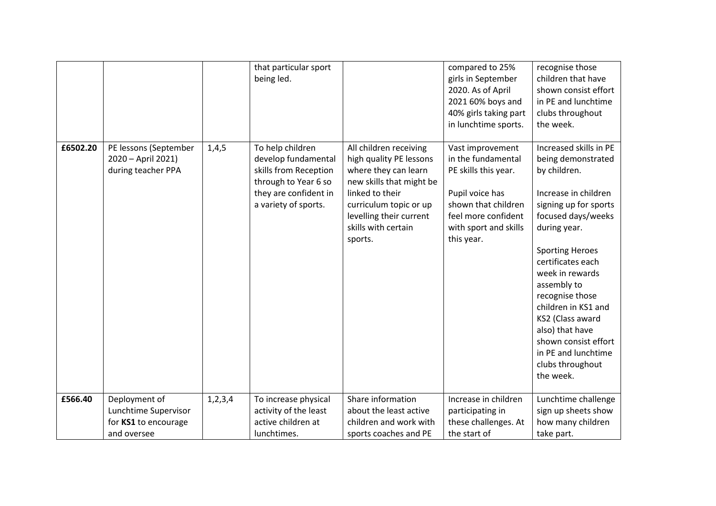|          |                                                                              |         | that particular sport<br>being led.                                                                                                       |                                                                                                                                                                                                                 | compared to 25%<br>girls in September<br>2020. As of April<br>2021 60% boys and<br>40% girls taking part<br>in lunchtime sports.                                       | recognise those<br>children that have<br>shown consist effort<br>in PE and lunchtime<br>clubs throughout<br>the week.                                                                                                                                                                                                                                                                                 |
|----------|------------------------------------------------------------------------------|---------|-------------------------------------------------------------------------------------------------------------------------------------------|-----------------------------------------------------------------------------------------------------------------------------------------------------------------------------------------------------------------|------------------------------------------------------------------------------------------------------------------------------------------------------------------------|-------------------------------------------------------------------------------------------------------------------------------------------------------------------------------------------------------------------------------------------------------------------------------------------------------------------------------------------------------------------------------------------------------|
| £6502.20 | PE lessons (September<br>2020 - April 2021)<br>during teacher PPA            | 1,4,5   | To help children<br>develop fundamental<br>skills from Reception<br>through to Year 6 so<br>they are confident in<br>a variety of sports. | All children receiving<br>high quality PE lessons<br>where they can learn<br>new skills that might be<br>linked to their<br>curriculum topic or up<br>levelling their current<br>skills with certain<br>sports. | Vast improvement<br>in the fundamental<br>PE skills this year.<br>Pupil voice has<br>shown that children<br>feel more confident<br>with sport and skills<br>this year. | Increased skills in PE<br>being demonstrated<br>by children.<br>Increase in children<br>signing up for sports<br>focused days/weeks<br>during year.<br><b>Sporting Heroes</b><br>certificates each<br>week in rewards<br>assembly to<br>recognise those<br>children in KS1 and<br>KS2 (Class award<br>also) that have<br>shown consist effort<br>in PE and lunchtime<br>clubs throughout<br>the week. |
| £566.40  | Deployment of<br>Lunchtime Supervisor<br>for KS1 to encourage<br>and oversee | 1,2,3,4 | To increase physical<br>activity of the least<br>active children at<br>lunchtimes.                                                        | Share information<br>about the least active<br>children and work with<br>sports coaches and PE                                                                                                                  | Increase in children<br>participating in<br>these challenges. At<br>the start of                                                                                       | Lunchtime challenge<br>sign up sheets show<br>how many children<br>take part.                                                                                                                                                                                                                                                                                                                         |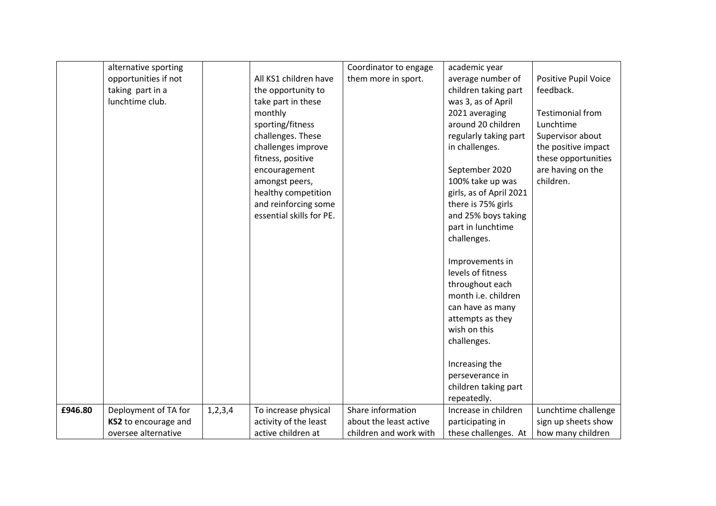|         | alternative sporting |            |                          | Coordinator to engage  | academic year           |                         |
|---------|----------------------|------------|--------------------------|------------------------|-------------------------|-------------------------|
|         | opportunities if not |            | All KS1 children have    | them more in sport.    | average number of       | Positive Pupil Voice    |
|         | taking part in a     |            | the opportunity to       |                        | children taking part    | feedback.               |
|         | lunchtime club.      |            | take part in these       |                        | was 3, as of April      |                         |
|         |                      |            | monthly                  |                        | 2021 averaging          | <b>Testimonial from</b> |
|         |                      |            | sporting/fitness         |                        | around 20 children      | Lunchtime               |
|         |                      |            | challenges. These        |                        | regularly taking part   | Supervisor about        |
|         |                      |            | challenges improve       |                        | in challenges.          | the positive impact     |
|         |                      |            | fitness, positive        |                        |                         | these opportunities     |
|         |                      |            | encouragement            |                        | September 2020          | are having on the       |
|         |                      |            | amongst peers,           |                        | 100% take up was        | children.               |
|         |                      |            | healthy competition      |                        | girls, as of April 2021 |                         |
|         |                      |            | and reinforcing some     |                        | there is 75% girls      |                         |
|         |                      |            | essential skills for PE. |                        | and 25% boys taking     |                         |
|         |                      |            |                          |                        | part in lunchtime       |                         |
|         |                      |            |                          |                        | challenges.             |                         |
|         |                      |            |                          |                        |                         |                         |
|         |                      |            |                          |                        | Improvements in         |                         |
|         |                      |            |                          |                        | levels of fitness       |                         |
|         |                      |            |                          |                        | throughout each         |                         |
|         |                      |            |                          |                        | month i.e. children     |                         |
|         |                      |            |                          |                        | can have as many        |                         |
|         |                      |            |                          |                        | attempts as they        |                         |
|         |                      |            |                          |                        | wish on this            |                         |
|         |                      |            |                          |                        | challenges.             |                         |
|         |                      |            |                          |                        | Increasing the          |                         |
|         |                      |            |                          |                        | perseverance in         |                         |
|         |                      |            |                          |                        | children taking part    |                         |
|         |                      |            |                          |                        | repeatedly.             |                         |
| £946.80 | Deployment of TA for | 1, 2, 3, 4 | To increase physical     | Share information      | Increase in children    | Lunchtime challenge     |
|         | KS2 to encourage and |            | activity of the least    | about the least active | participating in        | sign up sheets show     |
|         | oversee alternative  |            | active children at       | children and work with | these challenges. At    | how many children       |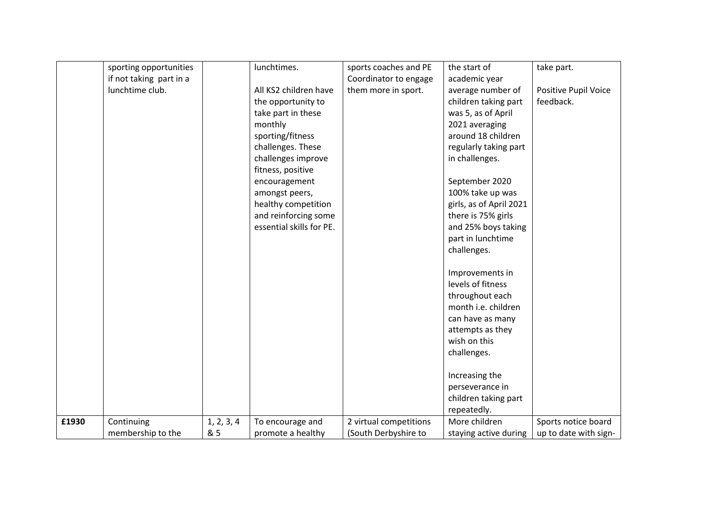|       | sporting opportunities  |            | lunchtimes.              | sports coaches and PE  | the start of                        | take part.                  |
|-------|-------------------------|------------|--------------------------|------------------------|-------------------------------------|-----------------------------|
|       | if not taking part in a |            |                          | Coordinator to engage  | academic year                       |                             |
|       | lunchtime club.         |            | All KS2 children have    | them more in sport.    | average number of                   | <b>Positive Pupil Voice</b> |
|       |                         |            | the opportunity to       |                        | children taking part                | feedback.                   |
|       |                         |            | take part in these       |                        | was 5, as of April                  |                             |
|       |                         |            | monthly                  |                        | 2021 averaging                      |                             |
|       |                         |            | sporting/fitness         |                        | around 18 children                  |                             |
|       |                         |            | challenges. These        |                        | regularly taking part               |                             |
|       |                         |            | challenges improve       |                        | in challenges.                      |                             |
|       |                         |            | fitness, positive        |                        |                                     |                             |
|       |                         |            | encouragement            |                        | September 2020                      |                             |
|       |                         |            | amongst peers,           |                        | 100% take up was                    |                             |
|       |                         |            | healthy competition      |                        | girls, as of April 2021             |                             |
|       |                         |            | and reinforcing some     |                        | there is 75% girls                  |                             |
|       |                         |            | essential skills for PE. |                        | and 25% boys taking                 |                             |
|       |                         |            |                          |                        | part in lunchtime                   |                             |
|       |                         |            |                          |                        | challenges.                         |                             |
|       |                         |            |                          |                        | Improvements in                     |                             |
|       |                         |            |                          |                        | levels of fitness                   |                             |
|       |                         |            |                          |                        | throughout each                     |                             |
|       |                         |            |                          |                        | month i.e. children                 |                             |
|       |                         |            |                          |                        | can have as many                    |                             |
|       |                         |            |                          |                        | attempts as they                    |                             |
|       |                         |            |                          |                        | wish on this                        |                             |
|       |                         |            |                          |                        | challenges.                         |                             |
|       |                         |            |                          |                        |                                     |                             |
|       |                         |            |                          |                        | Increasing the                      |                             |
|       |                         |            |                          |                        | perseverance in                     |                             |
|       |                         |            |                          |                        | children taking part<br>repeatedly. |                             |
| £1930 | Continuing              | 1, 2, 3, 4 | To encourage and         | 2 virtual competitions | More children                       | Sports notice board         |
|       | membership to the       | & 5        | promote a healthy        | (South Derbyshire to   |                                     | up to date with sign-       |
|       |                         |            |                          |                        | staying active during               |                             |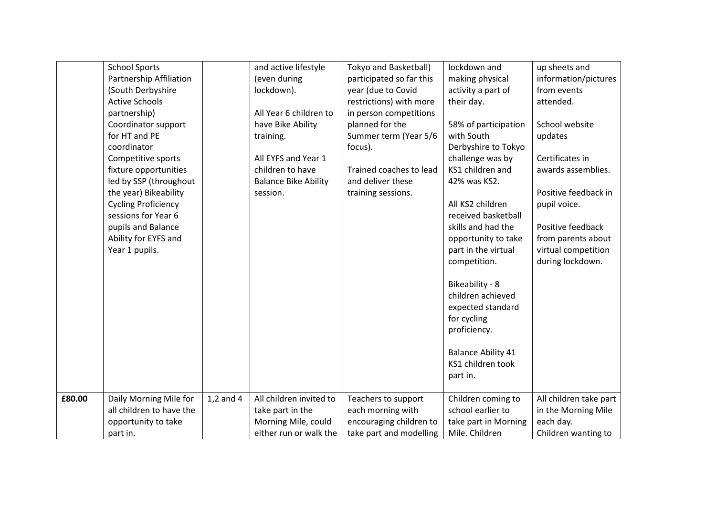|        | <b>School Sports</b>       |               | and active lifestyle        | Tokyo and Basketball)    | lockdown and              | up sheets and          |
|--------|----------------------------|---------------|-----------------------------|--------------------------|---------------------------|------------------------|
|        | Partnership Affiliation    |               | (even during                | participated so far this | making physical           | information/pictures   |
|        | (South Derbyshire          |               | lockdown).                  | year (due to Covid       | activity a part of        | from events            |
|        | <b>Active Schools</b>      |               |                             | restrictions) with more  | their day.                | attended.              |
|        | partnership)               |               | All Year 6 children to      | in person competitions   |                           |                        |
|        | Coordinator support        |               | have Bike Ability           | planned for the          | 58% of participation      | School website         |
|        | for HT and PE              |               | training.                   | Summer term (Year 5/6    | with South                | updates                |
|        | coordinator                |               |                             | focus).                  | Derbyshire to Tokyo       |                        |
|        | Competitive sports         |               | All EYFS and Year 1         |                          | challenge was by          | Certificates in        |
|        | fixture opportunities      |               | children to have            | Trained coaches to lead  | KS1 children and          | awards assemblies.     |
|        | led by SSP (throughout     |               | <b>Balance Bike Ability</b> | and deliver these        | 42% was KS2.              |                        |
|        | the year) Bikeability      |               | session.                    | training sessions.       |                           | Positive feedback in   |
|        | <b>Cycling Proficiency</b> |               |                             |                          | All KS2 children          | pupil voice.           |
|        | sessions for Year 6        |               |                             |                          | received basketball       |                        |
|        | pupils and Balance         |               |                             |                          | skills and had the        | Positive feedback      |
|        | Ability for EYFS and       |               |                             |                          | opportunity to take       | from parents about     |
|        | Year 1 pupils.             |               |                             |                          | part in the virtual       | virtual competition    |
|        |                            |               |                             |                          | competition.              | during lockdown.       |
|        |                            |               |                             |                          |                           |                        |
|        |                            |               |                             |                          | Bikeability - 8           |                        |
|        |                            |               |                             |                          | children achieved         |                        |
|        |                            |               |                             |                          | expected standard         |                        |
|        |                            |               |                             |                          | for cycling               |                        |
|        |                            |               |                             |                          | proficiency.              |                        |
|        |                            |               |                             |                          |                           |                        |
|        |                            |               |                             |                          | <b>Balance Ability 41</b> |                        |
|        |                            |               |                             |                          | KS1 children took         |                        |
|        |                            |               |                             |                          | part in.                  |                        |
|        |                            |               |                             |                          |                           |                        |
| £80.00 | Daily Morning Mile for     | $1,2$ and $4$ | All children invited to     | Teachers to support      | Children coming to        | All children take part |
|        | all children to have the   |               | take part in the            | each morning with        | school earlier to         | in the Morning Mile    |
|        | opportunity to take        |               | Morning Mile, could         | encouraging children to  | take part in Morning      | each day.              |
|        | part in.                   |               | either run or walk the      | take part and modelling  | Mile. Children            | Children wanting to    |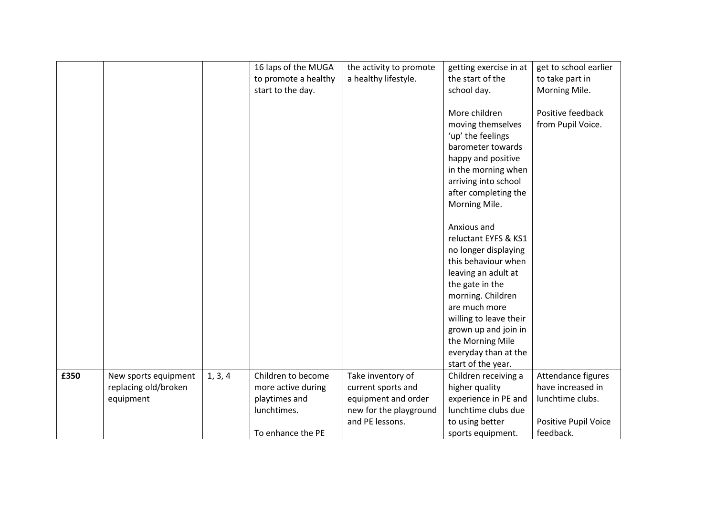|      |                      |         | 16 laps of the MUGA  | the activity to promote | getting exercise in at | get to school earlier |
|------|----------------------|---------|----------------------|-------------------------|------------------------|-----------------------|
|      |                      |         |                      |                         |                        |                       |
|      |                      |         | to promote a healthy | a healthy lifestyle.    | the start of the       | to take part in       |
|      |                      |         | start to the day.    |                         | school day.            | Morning Mile.         |
|      |                      |         |                      |                         |                        |                       |
|      |                      |         |                      |                         | More children          | Positive feedback     |
|      |                      |         |                      |                         | moving themselves      | from Pupil Voice.     |
|      |                      |         |                      |                         | 'up' the feelings      |                       |
|      |                      |         |                      |                         | barometer towards      |                       |
|      |                      |         |                      |                         | happy and positive     |                       |
|      |                      |         |                      |                         | in the morning when    |                       |
|      |                      |         |                      |                         | arriving into school   |                       |
|      |                      |         |                      |                         | after completing the   |                       |
|      |                      |         |                      |                         | Morning Mile.          |                       |
|      |                      |         |                      |                         |                        |                       |
|      |                      |         |                      |                         | Anxious and            |                       |
|      |                      |         |                      |                         | reluctant EYFS & KS1   |                       |
|      |                      |         |                      |                         | no longer displaying   |                       |
|      |                      |         |                      |                         | this behaviour when    |                       |
|      |                      |         |                      |                         | leaving an adult at    |                       |
|      |                      |         |                      |                         |                        |                       |
|      |                      |         |                      |                         | the gate in the        |                       |
|      |                      |         |                      |                         | morning. Children      |                       |
|      |                      |         |                      |                         | are much more          |                       |
|      |                      |         |                      |                         | willing to leave their |                       |
|      |                      |         |                      |                         | grown up and join in   |                       |
|      |                      |         |                      |                         | the Morning Mile       |                       |
|      |                      |         |                      |                         | everyday than at the   |                       |
|      |                      |         |                      |                         | start of the year.     |                       |
| £350 | New sports equipment | 1, 3, 4 | Children to become   | Take inventory of       | Children receiving a   | Attendance figures    |
|      | replacing old/broken |         | more active during   | current sports and      | higher quality         | have increased in     |
|      | equipment            |         | playtimes and        | equipment and order     | experience in PE and   | lunchtime clubs.      |
|      |                      |         | lunchtimes.          | new for the playground  | lunchtime clubs due    |                       |
|      |                      |         |                      | and PE lessons.         | to using better        | Positive Pupil Voice  |
|      |                      |         | To enhance the PE    |                         | sports equipment.      | feedback.             |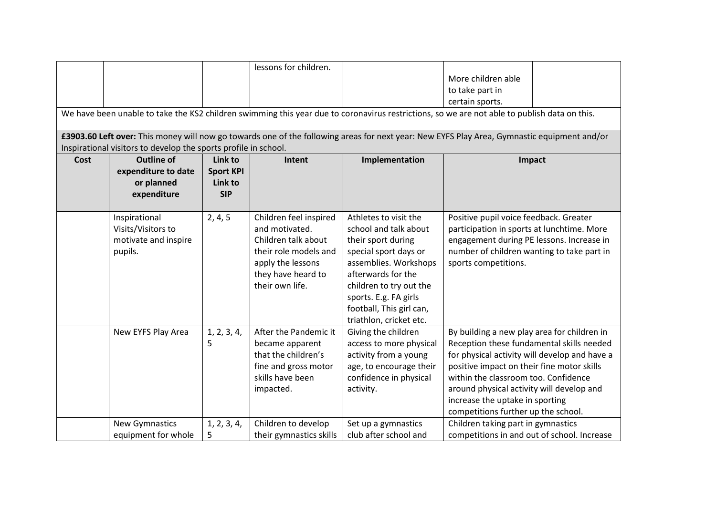|                                                                                                                                              |                                                                 |                  | lessons for children.   |                          |                                                                                                                                             |  |  |  |
|----------------------------------------------------------------------------------------------------------------------------------------------|-----------------------------------------------------------------|------------------|-------------------------|--------------------------|---------------------------------------------------------------------------------------------------------------------------------------------|--|--|--|
|                                                                                                                                              |                                                                 |                  |                         |                          |                                                                                                                                             |  |  |  |
|                                                                                                                                              |                                                                 |                  |                         |                          | More children able                                                                                                                          |  |  |  |
|                                                                                                                                              |                                                                 |                  |                         |                          | to take part in                                                                                                                             |  |  |  |
|                                                                                                                                              |                                                                 |                  |                         |                          | certain sports.                                                                                                                             |  |  |  |
| We have been unable to take the KS2 children swimming this year due to coronavirus restrictions, so we are not able to publish data on this. |                                                                 |                  |                         |                          |                                                                                                                                             |  |  |  |
|                                                                                                                                              |                                                                 |                  |                         |                          | £3903.60 Left over: This money will now go towards one of the following areas for next year: New EYFS Play Area, Gymnastic equipment and/or |  |  |  |
|                                                                                                                                              | Inspirational visitors to develop the sports profile in school. |                  |                         |                          |                                                                                                                                             |  |  |  |
| Cost                                                                                                                                         | <b>Outline of</b>                                               | Link to          | Intent                  | Implementation           | Impact                                                                                                                                      |  |  |  |
|                                                                                                                                              | expenditure to date                                             | <b>Sport KPI</b> |                         |                          |                                                                                                                                             |  |  |  |
|                                                                                                                                              | or planned                                                      | Link to          |                         |                          |                                                                                                                                             |  |  |  |
|                                                                                                                                              | expenditure                                                     | <b>SIP</b>       |                         |                          |                                                                                                                                             |  |  |  |
|                                                                                                                                              |                                                                 |                  |                         |                          |                                                                                                                                             |  |  |  |
|                                                                                                                                              | Inspirational                                                   | 2, 4, 5          | Children feel inspired  | Athletes to visit the    | Positive pupil voice feedback. Greater                                                                                                      |  |  |  |
|                                                                                                                                              | Visits/Visitors to                                              |                  | and motivated.          | school and talk about    | participation in sports at lunchtime. More                                                                                                  |  |  |  |
|                                                                                                                                              | motivate and inspire                                            |                  | Children talk about     | their sport during       | engagement during PE lessons. Increase in                                                                                                   |  |  |  |
|                                                                                                                                              | pupils.                                                         |                  | their role models and   | special sport days or    | number of children wanting to take part in                                                                                                  |  |  |  |
|                                                                                                                                              |                                                                 |                  | apply the lessons       | assemblies. Workshops    | sports competitions.                                                                                                                        |  |  |  |
|                                                                                                                                              |                                                                 |                  |                         | afterwards for the       |                                                                                                                                             |  |  |  |
|                                                                                                                                              |                                                                 |                  | they have heard to      |                          |                                                                                                                                             |  |  |  |
|                                                                                                                                              |                                                                 |                  | their own life.         | children to try out the  |                                                                                                                                             |  |  |  |
|                                                                                                                                              |                                                                 |                  |                         | sports. E.g. FA girls    |                                                                                                                                             |  |  |  |
|                                                                                                                                              |                                                                 |                  |                         | football, This girl can, |                                                                                                                                             |  |  |  |
|                                                                                                                                              |                                                                 |                  |                         | triathlon, cricket etc.  |                                                                                                                                             |  |  |  |
|                                                                                                                                              | New EYFS Play Area                                              | 1, 2, 3, 4,      | After the Pandemic it   | Giving the children      | By building a new play area for children in                                                                                                 |  |  |  |
|                                                                                                                                              |                                                                 | 5                | became apparent         | access to more physical  | Reception these fundamental skills needed                                                                                                   |  |  |  |
|                                                                                                                                              |                                                                 |                  | that the children's     | activity from a young    | for physical activity will develop and have a                                                                                               |  |  |  |
|                                                                                                                                              |                                                                 |                  | fine and gross motor    | age, to encourage their  | positive impact on their fine motor skills                                                                                                  |  |  |  |
|                                                                                                                                              |                                                                 |                  | skills have been        | confidence in physical   | within the classroom too. Confidence                                                                                                        |  |  |  |
|                                                                                                                                              |                                                                 |                  | impacted.               | activity.                | around physical activity will develop and                                                                                                   |  |  |  |
|                                                                                                                                              |                                                                 |                  |                         |                          | increase the uptake in sporting                                                                                                             |  |  |  |
|                                                                                                                                              |                                                                 |                  |                         |                          | competitions further up the school.                                                                                                         |  |  |  |
|                                                                                                                                              | <b>New Gymnastics</b>                                           | 1, 2, 3, 4,      | Children to develop     | Set up a gymnastics      | Children taking part in gymnastics                                                                                                          |  |  |  |
|                                                                                                                                              | equipment for whole                                             | 5                | their gymnastics skills | club after school and    | competitions in and out of school. Increase                                                                                                 |  |  |  |